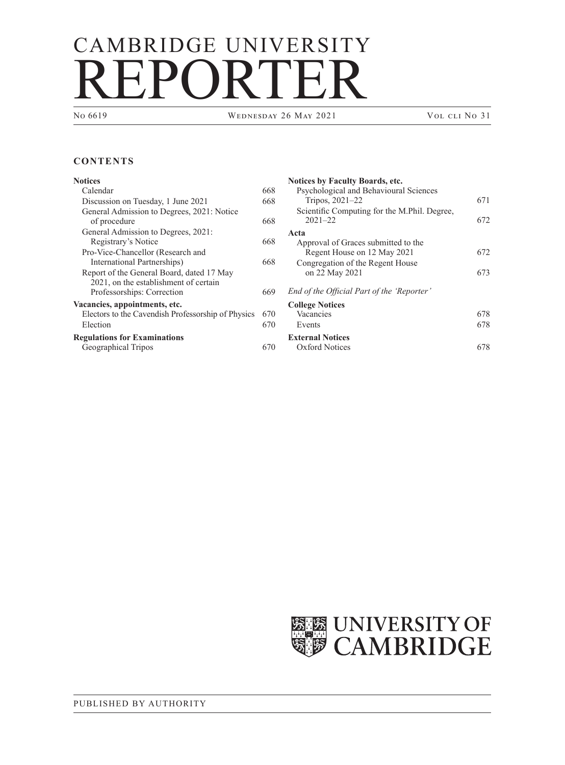# CAMBRIDGE UNIVERSITY REPORTER

WEDNESDAY 26 MAY 2021 VOL CLI NO 31

## **CONTENTS**

### **[Notices](#page-1-0)**

| 668 |
|-----|
| 668 |
| 668 |
|     |
| 668 |
|     |
| 668 |
|     |
| 669 |
|     |
| 670 |
| 670 |
|     |
| 70  |
|     |

| <b>Notices by Faculty Boards, etc.</b><br>Psychological and Behavioural Sciences |     |
|----------------------------------------------------------------------------------|-----|
| Tripos, 2021-22                                                                  | 671 |
| Scientific Computing for the M.Phil. Degree,<br>$2021 - 22$                      | 672 |
| Acta                                                                             |     |
| Approval of Graces submitted to the                                              |     |
| Regent House on 12 May 2021                                                      | 672 |
| Congregation of the Regent House                                                 |     |
| on 22 May 2021                                                                   | 673 |
| End of the Official Part of the 'Reporter'                                       |     |
| <b>College Notices</b>                                                           |     |
| Vacancies                                                                        | 678 |
| Events                                                                           | 678 |
| <b>External Notices</b>                                                          |     |
| Oxford Notices                                                                   | 78  |

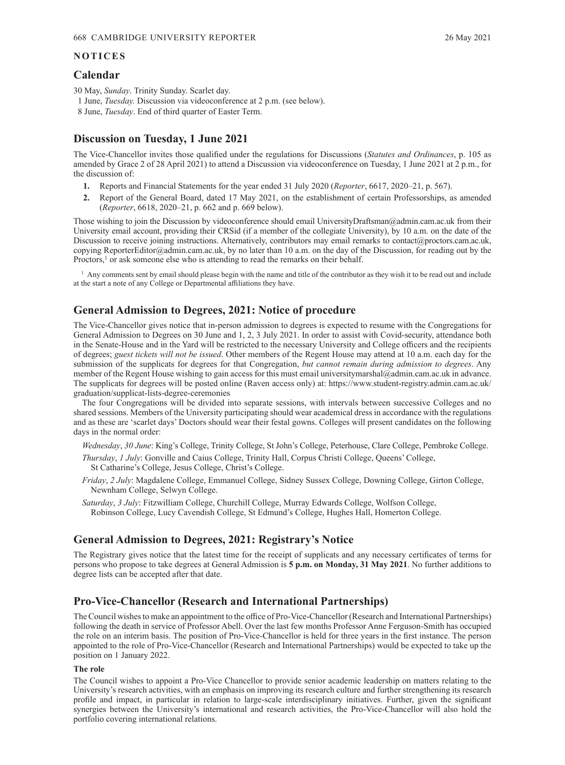#### <span id="page-1-0"></span>**NOTICES**

## **Calendar**

30 May, *Sunday*. Trinity Sunday. Scarlet day.

- 1 June, *Tuesday.* Discussion via videoconference at 2 p.m. (see below).
- 8 June, *Tuesday*. End of third quarter of Easter Term.

## **Discussion on Tuesday, 1 June 2021**

The Vice-Chancellor invites those qualified under the regulations for Discussions (*[Statutes and Ordinances](https://www.admin.cam.ac.uk/univ/so/pdfs/2020/ordinance01.pdf#page=3)*, p. 105 as amended by Grace 2 of 28 [April 2021](https://www.admin.cam.ac.uk/reporter/2020-21/weekly/6614/6614.pdf#page=34)) to attend a Discussion via videoconference on Tuesday, 1 June 2021 at 2 p.m., for the discussion of:

- **1.** Reports and Financial Statements for the year ended 31 July 2020 (*Reporter*[, 6617, 2020–21, p.](https://www.admin.cam.ac.uk/reporter/2020-21/weekly/6617/6617-FinancialStatements.pdf#page=3) 567).
- **2.** Report of the General Board, dated 17 May 2021, on the establishment of certain Professorships, as amended (*Reporter*, [6618, 2020–21, p.](https://www.admin.cam.ac.uk/reporter/2020-21/weekly/6618/6618.pdf#page=5) 662 and p. [669 below\)](#page-2-0).

Those wishing to join the Discussion by videoconference should email [UniversityDraftsman@admin.cam.ac.uk fro](mailto:UniversityDraftsman@admin.cam.ac.uk)m their University email account, providing their CRSid (if a member of the collegiate University), by 10 a.m. on the date of the Discussion to receive joining instructions. Alternatively, contributors may email remarks to [contact@proctors.cam.ac.uk,](mailto:contact@proctors.cam.ac.uk)  copying [ReporterEditor@admin.cam.ac.uk, by](mailto:ReporterEditor@admin.cam.ac.uk) no later than 10 a.m. on the day of the Discussion, for reading out by the Proctors,<sup>1</sup> or ask someone else who is attending to read the remarks on their behalf.

 $<sup>1</sup>$  Any comments sent by email should please begin with the name and title of the contributor as they wish it to be read out and include</sup> at the start a note of any College or Departmental affiliations they have.

# **General Admission to Degrees, 2021: Notice of procedure**

The Vice-Chancellor gives notice that in‑person admission to degrees is expected to resume with the Congregations for General Admission to Degrees on 30 June and 1, 2, 3 July 2021. In order to assist with Covid-security, attendance both in the Senate-House and in the Yard will be restricted to the necessary University and College officers and the recipients of degrees; *guest tickets will not be issued*. Other members of the Regent House may attend at 10 a.m. each day for the submission of the supplicats for degrees for that Congregation, *but cannot remain during admission to degrees*. Any member of the Regent House wishing to gain access for this must email [universitymarshal@admin.cam.ac.uk in](mailto:universitymarshal@admin.cam.ac.uk) advance. The supplicats for degrees will be posted online (Raven access only) at: [https://www.student-registry.admin.cam.ac.uk/](https://www.student-registry.admin.cam.ac.uk/graduation/supplicat-lists-degree-ceremonies) [graduation/supplicat-lists-degree-ceremonies](https://www.student-registry.admin.cam.ac.uk/graduation/supplicat-lists-degree-ceremonies) 

The four Congregations will be divided into separate sessions, with intervals between successive Colleges and no shared sessions. Members of the University participating should wear academical dress in accordance with the regulations and as these are 'scarlet days' Doctors should wear their festal gowns. Colleges will present candidates on the following days in the normal order:

*Wednesday*, *30 June*: King's College, Trinity College, St John's College, Peterhouse, Clare College, Pembroke College.

- *Thursday*, *1 July*: Gonville and Caius College, Trinity Hall, Corpus Christi College, Queens' College, St Catharine's College, Jesus College, Christ's College.
- *Friday*, *2 July*: Magdalene College, Emmanuel College, Sidney Sussex College, Downing College, Girton College, Newnham College, Selwyn College.
- *Saturday*, *3 July*: Fitzwilliam College, Churchill College, Murray Edwards College, Wolfson College, Robinson College, Lucy Cavendish College, St Edmund's College, Hughes Hall, Homerton College.

## **General Admission to Degrees, 2021: Registrary's Notice**

The Registrary gives notice that the latest time for the receipt of supplicats and any necessary certificates of terms for persons who propose to take degrees at General Admission is **5 p.m. on Monday, 31 May 2021**. No further additions to degree lists can be accepted after that date.

# **Pro-Vice-Chancellor (Research and International Partnerships)**

The Council wishes to make an appointment to the office of Pro-Vice-Chancellor (Research and International Partnerships) following the death in service of Professor Abell. Over the last few months Professor Anne Ferguson-Smith has occupied the role on an interim basis. The position of Pro-Vice-Chancellor is held for three years in the first instance. The person appointed to the role of Pro-Vice-Chancellor (Research and International Partnerships) would be expected to take up the position on 1 January 2022.

#### **The role**

The Council wishes to appoint a Pro-Vice Chancellor to provide senior academic leadership on matters relating to the University's research activities, with an emphasis on improving its research culture and further strengthening its research profile and impact, in particular in relation to large-scale interdisciplinary initiatives. Further, given the significant synergies between the University's international and research activities, the Pro-Vice-Chancellor will also hold the portfolio covering international relations.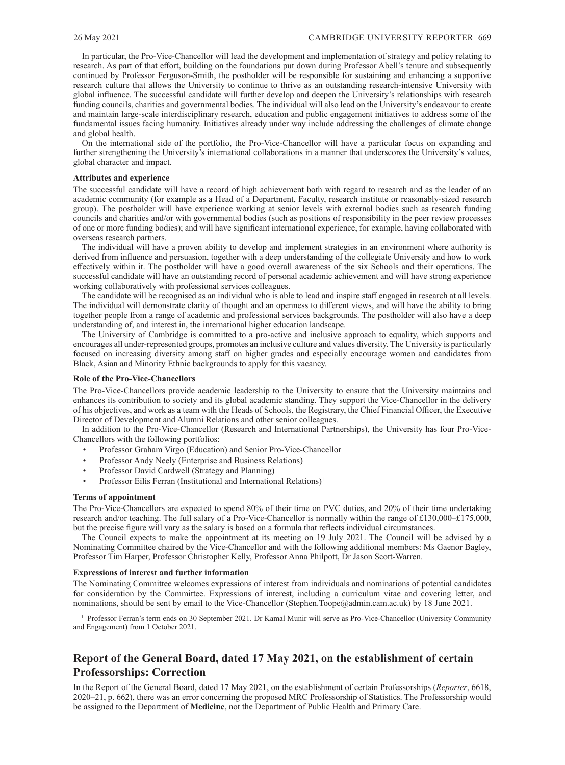<span id="page-2-0"></span>In particular, the Pro-Vice-Chancellor will lead the development and implementation of strategy and policy relating to research. As part of that effort, building on the foundations put down during Professor Abell's tenure and subsequently continued by Professor Ferguson-Smith, the postholder will be responsible for sustaining and enhancing a supportive research culture that allows the University to continue to thrive as an outstanding research-intensive University with global influence. The successful candidate will further develop and deepen the University's relationships with research funding councils, charities and governmental bodies. The individual will also lead on the University's endeavour to create and maintain large-scale interdisciplinary research, education and public engagement initiatives to address some of the fundamental issues facing humanity. Initiatives already under way include addressing the challenges of climate change and global health.

On the international side of the portfolio, the Pro-Vice-Chancellor will have a particular focus on expanding and further strengthening the University's international collaborations in a manner that underscores the University's values, global character and impact.

#### **Attributes and experience**

The successful candidate will have a record of high achievement both with regard to research and as the leader of an academic community (for example as a Head of a Department, Faculty, research institute or reasonably-sized research group). The postholder will have experience working at senior levels with external bodies such as research funding councils and charities and/or with governmental bodies (such as positions of responsibility in the peer review processes of one or more funding bodies); and will have significant international experience, for example, having collaborated with overseas research partners.

The individual will have a proven ability to develop and implement strategies in an environment where authority is derived from influence and persuasion, together with a deep understanding of the collegiate University and how to work effectively within it. The postholder will have a good overall awareness of the six Schools and their operations. The successful candidate will have an outstanding record of personal academic achievement and will have strong experience working collaboratively with professional services colleagues.

The candidate will be recognised as an individual who is able to lead and inspire staff engaged in research at all levels. The individual will demonstrate clarity of thought and an openness to different views, and will have the ability to bring together people from a range of academic and professional services backgrounds. The postholder will also have a deep understanding of, and interest in, the international higher education landscape.

The University of Cambridge is committed to a pro-active and inclusive approach to equality, which supports and encourages all under-represented groups, promotes an inclusive culture and values diversity. The University is particularly focused on increasing diversity among staff on higher grades and especially encourage women and candidates from Black, Asian and Minority Ethnic backgrounds to apply for this vacancy.

#### **Role of the Pro-Vice-Chancellors**

The Pro-Vice-Chancellors provide academic leadership to the University to ensure that the University maintains and enhances its contribution to society and its global academic standing. They support the Vice-Chancellor in the delivery of his objectives, and work as a team with the Heads of Schools, the Registrary, the Chief Financial Officer, the Executive Director of Development and Alumni Relations and other senior colleagues.

In addition to the Pro-Vice-Chancellor (Research and International Partnerships), the University has four Pro-Vice-Chancellors with the following portfolios:

- Professor Graham Virgo (Education) and Senior Pro-Vice-Chancellor
- Professor Andy Neely (Enterprise and Business Relations)
- Professor David Cardwell (Strategy and Planning)
- Professor Eilís Ferran (Institutional and International Relations)<sup>1</sup>

#### **Terms of appointment**

The Pro-Vice-Chancellors are expected to spend 80% of their time on PVC duties, and 20% of their time undertaking research and/or teaching. The full salary of a Pro-Vice-Chancellor is normally within the range of £130,000–£175,000, but the precise figure will vary as the salary is based on a formula that reflects individual circumstances.

The Council expects to make the appointment at its meeting on 19 July 2021. The Council will be advised by a Nominating Committee chaired by the Vice-Chancellor and with the following additional members: Ms Gaenor Bagley, Professor Tim Harper, Professor Christopher Kelly, Professor Anna Philpott, Dr Jason Scott-Warren.

#### **Expressions of interest and further information**

The Nominating Committee welcomes expressions of interest from individuals and nominations of potential candidates for consideration by the Committee. Expressions of interest, including a curriculum vitae and covering letter, and nominations, should be sent by email to the Vice-Chancellor [\(Stephen.Toope@admin.cam.ac.uk\) by](mailto:Stephen.Toope@admin.cam.ac.uk) 18 June 2021.

<sup>1</sup> Professor Ferran's term ends on 30 September 2021. Dr Kamal Munir will serve as Pro-Vice-Chancellor (University Community and Engagement) from 1 October 2021.

# **Report of the General Board, dated 17 May 2021, on the establishment of certain Professorships: Correction**

In the Report of the General Board, dated 17 May 2021, on the establishment of certain Professorships (*[Reporter](https://www.admin.cam.ac.uk/reporter/2020-21/weekly/6618/6618.pdf#page=5)*, 6618, [2020–21, p.](https://www.admin.cam.ac.uk/reporter/2020-21/weekly/6618/6618.pdf#page=5) 662), there was an error concerning the proposed MRC Professorship of Statistics. The Professorship would be assigned to the Department of **Medicine**, not the Department of Public Health and Primary Care.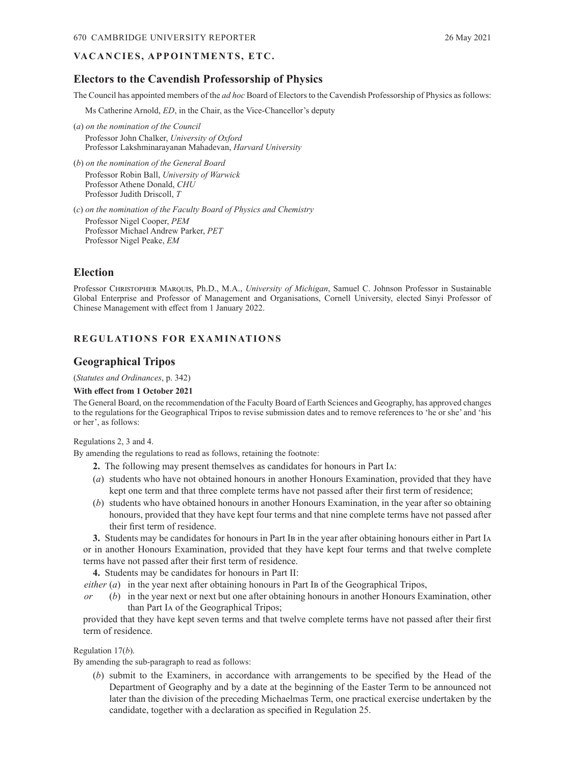## <span id="page-3-0"></span>VA CANCIES, APPOINTMENTS, ETC.

# **Electors to the Cavendish Professorship of Physics**

The Council has appointed members of the *ad hoc* Board of Electors to the Cavendish Professorship of Physics as follows:

Ms Catherine Arnold, *ED*, in the Chair, as the Vice-Chancellor's deputy

- (*a*) *on the nomination of the Council* Professor John Chalker, *University of Oxford*  Professor Lakshminarayanan Mahadevan, *Harvard University*
- (*b*) *on the nomination of the General Board* Professor Robin Ball, *University of Warwick*  Professor Athene Donald, *CHU* Professor Judith Driscoll, *T*
- (*c*) *on the nomination of the Faculty Board of Physics and Chemistry*  Professor Nigel Cooper, *PEM* Professor Michael Andrew Parker, *PET* Professor Nigel Peake, *EM*

# **Election**

Professor Christopher Marquis, Ph.D., M.A., *University of Michigan*, Samuel C. Johnson Professor in Sustainable Global Enterprise and Professor of Management and Organisations, Cornell University, elected Sinyi Professor of Chinese Management with effect from 1 January 2022.

# **REGULATIONS FOR EXAMINATIONS**

## **Geographical Tripos**

(*[Statutes and Ordinances](https://www.admin.cam.ac.uk/univ/so/pdfs/2020/ordinance04.pdf#page=85)*, p. 342)

#### **With effect from 1 October 2021**

The General Board, on the recommendation of the Faculty Board of Earth Sciences and Geography, has approved changes to the regulations for the Geographical Tripos to revise submission dates and to remove references to 'he or she' and 'his or her', as follows:

Regulations 2, 3 and 4.

By amending the regulations to read as follows, retaining the footnote:

- **2.** The following may present themselves as candidates for honours in Part Ia:
- (*a*) students who have not obtained honours in another Honours Examination, provided that they have kept one term and that three complete terms have not passed after their first term of residence;
- (*b*) students who have obtained honours in another Honours Examination, in the year after so obtaining honours, provided that they have kept four terms and that nine complete terms have not passed after their first term of residence.

**3.** Students may be candidates for honours in Part Ib in the year after obtaining honours either in Part Ia or in another Honours Examination, provided that they have kept four terms and that twelve complete terms have not passed after their first term of residence.

**4.** Students may be candidates for honours in Part II:

*either* ( $a$ ) in the year next after obtaining honours in Part Ib of the Geographical Tripos,

*or* (*b*) in the year next or next but one after obtaining honours in another Honours Examination, other than Part Ia of the Geographical Tripos;

provided that they have kept seven terms and that twelve complete terms have not passed after their first term of residence.

#### Regulation 17(*b*).

By amending the sub-paragraph to read as follows:

(*b*) submit to the Examiners, in accordance with arrangements to be specified by the Head of the Department of Geography and by a date at the beginning of the Easter Term to be announced not later than the division of the preceding Michaelmas Term, one practical exercise undertaken by the candidate, together with a declaration as specified in Regulation 25.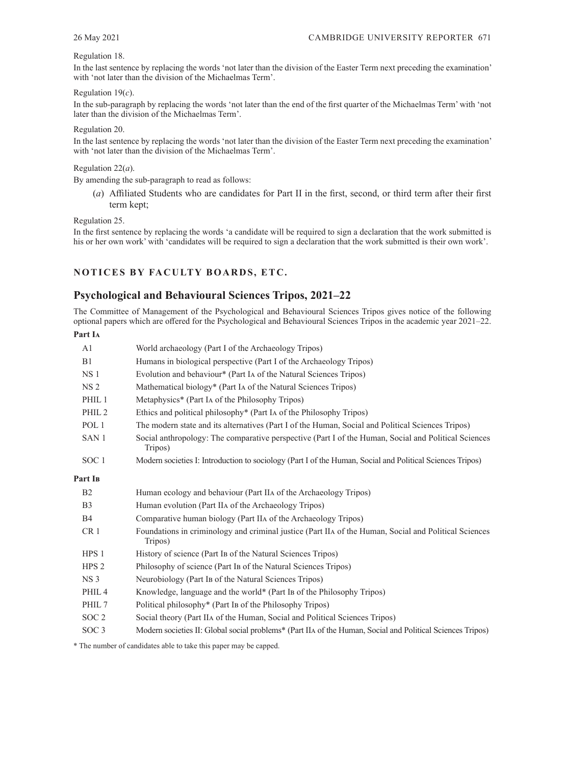#### <span id="page-4-0"></span>Regulation 18.

In the last sentence by replacing the words 'not later than the division of the Easter Term next preceding the examination' with 'not later than the division of the Michaelmas Term'.

Regulation 19(*c*).

In the sub-paragraph by replacing the words 'not later than the end of the first quarter of the Michaelmas Term' with 'not later than the division of the Michaelmas Term'.

#### Regulation 20.

In the last sentence by replacing the words 'not later than the division of the Easter Term next preceding the examination' with 'not later than the division of the Michaelmas Term'.

# Regulation 22(*a*).

By amending the sub-paragraph to read as follows:

(*a*) Affiliated Students who are candidates for Part II in the first, second, or third term after their first term kept;

Regulation 25.

In the first sentence by replacing the words 'a candidate will be required to sign a declaration that the work submitted is his or her own work' with 'candidates will be required to sign a declaration that the work submitted is their own work'.

## **NOTICES BY FACULTY BOARDS, ETC.**

# **Psychological and Behavioural Sciences Tripos, 2021–22**

The Committee of Management of the Psychological and Behavioural Sciences Tripos gives notice of the following optional papers which are offered for the Psychological and Behavioural Sciences Tripos in the academic year 2021–22.

## **Part Ia**

| A <sub>1</sub>      | World archaeology (Part I of the Archaeology Tripos)                                                             |
|---------------------|------------------------------------------------------------------------------------------------------------------|
| B1                  | Humans in biological perspective (Part I of the Archaeology Tripos)                                              |
| NS <sub>1</sub>     | Evolution and behaviour* (Part IA of the Natural Sciences Tripos)                                                |
| NS <sub>2</sub>     | Mathematical biology* (Part IA of the Natural Sciences Tripos)                                                   |
| PHIL <sub>1</sub>   | Metaphysics* (Part IA of the Philosophy Tripos)                                                                  |
| PHIL <sub>2</sub>   | Ethics and political philosophy <sup>*</sup> (Part IA of the Philosophy Tripos)                                  |
| POL <sub>1</sub>    | The modern state and its alternatives (Part I of the Human, Social and Political Sciences Tripos)                |
| SAN <sub>1</sub>    | Social anthropology: The comparative perspective (Part I of the Human, Social and Political Sciences<br>Tripos)  |
| SOC <sub>1</sub>    | Modern societies I: Introduction to sociology (Part I of the Human, Social and Political Sciences Tripos)        |
| Part I <sub>B</sub> |                                                                                                                  |
| B <sub>2</sub>      | Human ecology and behaviour (Part IIA of the Archaeology Tripos)                                                 |
| B <sub>3</sub>      | Human evolution (Part IIA of the Archaeology Tripos)                                                             |
| <b>B4</b>           | Comparative human biology (Part IIA of the Archaeology Tripos)                                                   |
| CR <sub>1</sub>     | Foundations in criminology and criminal justice (Part IIA of the Human, Social and Political Sciences<br>Tripos) |
| HPS <sub>1</sub>    | History of science (Part IB of the Natural Sciences Tripos)                                                      |
| HPS <sub>2</sub>    | Philosophy of science (Part IB of the Natural Sciences Tripos)                                                   |
| NS <sub>3</sub>     | Neurobiology (Part IB of the Natural Sciences Tripos)                                                            |
| PHIL <sub>4</sub>   | Knowledge, language and the world* (Part IB of the Philosophy Tripos)                                            |
| PHIL 7              | Political philosophy* (Part IB of the Philosophy Tripos)                                                         |
| SOC <sub>2</sub>    | Social theory (Part IIA of the Human, Social and Political Sciences Tripos)                                      |
| SOC <sub>3</sub>    | Modern societies II: Global social problems* (Part IIA of the Human, Social and Political Sciences Tripos)       |
|                     |                                                                                                                  |

\* The number of candidates able to take this paper may be capped.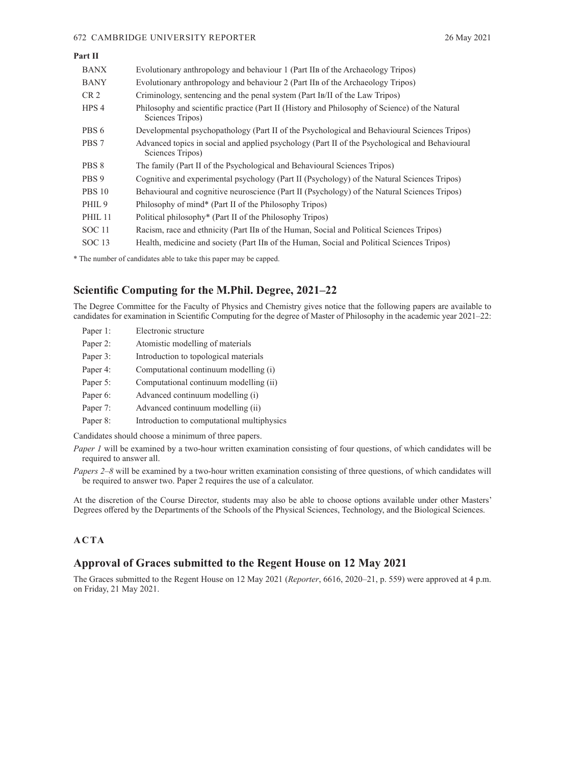#### <span id="page-5-0"></span>672 CAMBRIDGE UNIVERSITY REPORTER 26 May 2021

| Part II           |                                                                                                                    |
|-------------------|--------------------------------------------------------------------------------------------------------------------|
| <b>BANX</b>       | Evolutionary anthropology and behaviour 1 (Part IIB of the Archaeology Tripos)                                     |
| <b>BANY</b>       | Evolutionary anthropology and behaviour 2 (Part IIB of the Archaeology Tripos)                                     |
| CR <sub>2</sub>   | Criminology, sentencing and the penal system (Part IB/II of the Law Tripos)                                        |
| HPS <sub>4</sub>  | Philosophy and scientific practice (Part II (History and Philosophy of Science) of the Natural<br>Sciences Tripos) |
| PBS 6             | Developmental psychopathology (Part II of the Psychological and Behavioural Sciences Tripos)                       |
| PBS 7             | Advanced topics in social and applied psychology (Part II of the Psychological and Behavioural<br>Sciences Tripos) |
| PBS 8             | The family (Part II of the Psychological and Behavioural Sciences Tripos)                                          |
| PBS 9             | Cognitive and experimental psychology (Part II (Psychology) of the Natural Sciences Tripos)                        |
| <b>PBS 10</b>     | Behavioural and cognitive neuroscience (Part II (Psychology) of the Natural Sciences Tripos)                       |
| PHIL <sub>9</sub> | Philosophy of mind* (Part II of the Philosophy Tripos)                                                             |
| PHIL 11           | Political philosophy <sup>*</sup> (Part II of the Philosophy Tripos)                                               |
| <b>SOC</b> 11     | Racism, race and ethnicity (Part II B of the Human, Social and Political Sciences Tripos)                          |
| SOC <sub>13</sub> | Health, medicine and society (Part IIB of the Human, Social and Political Sciences Tripos)                         |

\* The number of candidates able to take this paper may be capped.

# **Scientific Computing for the M.Phil. Degree, 2021–22**

The Degree Committee for the Faculty of Physics and Chemistry gives notice that the following papers are available to candidates for examination in Scientific Computing for the degree of Master of Philosophy in the academic year 2021–22:

| Paper 1: | Electronic structure                       |
|----------|--------------------------------------------|
| Paper 2: | Atomistic modelling of materials           |
| Paper 3: | Introduction to topological materials      |
| Paper 4: | Computational continuum modelling (i)      |
| Paper 5: | Computational continuum modelling (ii)     |
| Paper 6: | Advanced continuum modelling (i)           |
| Paper 7: | Advanced continuum modelling (ii)          |
| Paper 8: | Introduction to computational multiphysics |
|          |                                            |

Candidates should choose a minimum of three papers.

*Paper 1* will be examined by a two-hour written examination consisting of four questions, of which candidates will be required to answer all.

*Papers 2–8* will be examined by a two-hour written examination consisting of three questions, of which candidates will be required to answer two. Paper 2 requires the use of a calculator.

At the discretion of the Course Director, students may also be able to choose options available under other Masters' Degrees offered by the Departments of the Schools of the Physical Sciences, Technology, and the Biological Sciences.

# **ACTA**

# **Approval of Graces submitted to the Regent House on 12 May 2021**

The Graces submitted to the Regent House on 12 May 2021 (*Reporter*[, 6616, 2020–21, p.](https://www.admin.cam.ac.uk/reporter/2020-21/weekly/6616/6616.pdf#page=7) 559) were approved at 4 p.m. on Friday, 21 May 2021.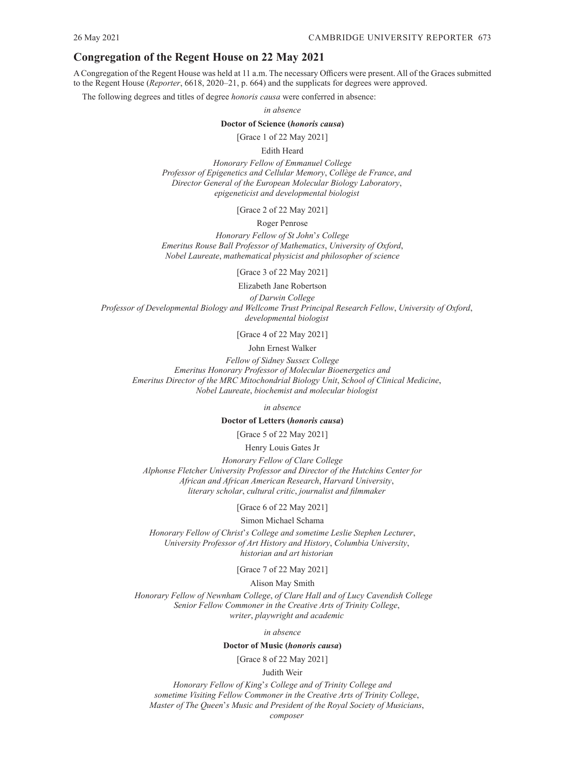# <span id="page-6-0"></span>**Congregation of the Regent House on 22 May 2021**

A Congregation of the Regent House was held at 11 a.m. The necessary Officers were present. All of the Graces submitted to the Regent House (*Reporter*[, 6618, 2020–21, p.](https://www.admin.cam.ac.uk/reporter/2020-21/weekly/6618/6618.pdf#page=7) 664) and the supplicats for degrees were approved.

The following degrees and titles of degree *honoris causa* were conferred in absence:

*in absence*

#### **Doctor of Science (***honoris causa***)**

[Grace 1 of 22 May 2021]

Edith Heard

*Honorary Fellow of Emmanuel College Professor of Epigenetics and Cellular Memory*, *Collège de France*, *and Director General of the European Molecular Biology Laboratory*, *epigeneticist and developmental biologist*

[Grace 2 of 22 May 2021]

#### Roger Penrose

*Honorary Fellow of St John*'*s College Emeritus Rouse Ball Professor of Mathematics*, *University of Oxford*, *Nobel Laureate*, *mathematical physicist and philosopher of science*

[Grace 3 of 22 May 2021]

Elizabeth Jane Robertson *of Darwin College*

*Professor of Developmental Biology and Wellcome Trust Principal Research Fellow*, *University of Oxford*, *developmental biologist*

[Grace 4 of 22 May 2021]

John Ernest Walker

*Fellow of Sidney Sussex College Emeritus Honorary Professor of Molecular Bioenergetics and Emeritus Director of the MRC Mitochondrial Biology Unit*, *School of Clinical Medicine*, *Nobel Laureate*, *biochemist and molecular biologist*

*in absence*

**Doctor of Letters (***honoris causa***)**

[Grace 5 of 22 May 2021]

Henry Louis Gates Jr

*Honorary Fellow of Clare College Alphonse Fletcher University Professor and Director of the Hutchins Center for African and African American Research*, *Harvard University*, *literary scholar*, *cultural critic*, *journalist and filmmaker*

[Grace 6 of 22 May 2021]

Simon Michael Schama

*Honorary Fellow of Christ*'*s College and sometime Leslie Stephen Lecturer*, *University Professor of Art History and History*, *Columbia University*, *historian and art historian*

[Grace 7 of 22 May 2021]

Alison May Smith

 *Honorary Fellow of Newnham College*, *of Clare Hall and of Lucy Cavendish College Senior Fellow Commoner in the Creative Arts of Trinity College*, *writer*, *playwright and academic*

*in absence*

**Doctor of Music (***honoris causa***)**

[Grace 8 of 22 May 2021]

Judith Weir

*Honorary Fellow of King*'*s College and of Trinity College and sometime Visiting Fellow Commoner in the Creative Arts of Trinity College*, *Master of The Queen*'*s Music and President of the Royal Society of Musicians*,

*composer*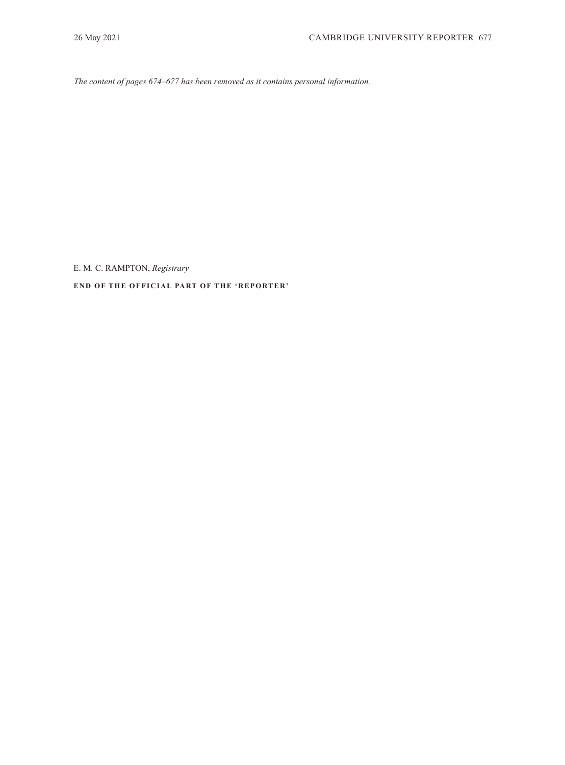<span id="page-7-0"></span>*The content of pages 674–677 has been removed as it contains personal information.*

E. M. C. RAMPTON, *Registrary*

**END OF THE OFFICIAL PART OF THE 'REPORTER'**